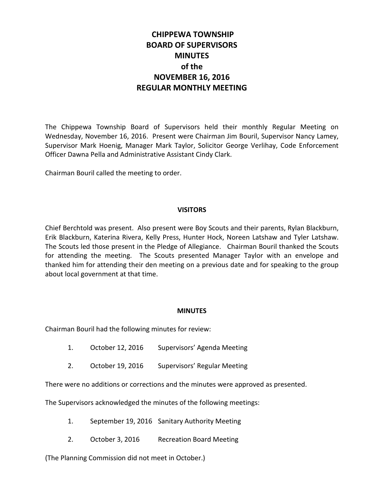# **CHIPPEWA TOWNSHIP BOARD OF SUPERVISORS MINUTES of the NOVEMBER 16, 2016 REGULAR MONTHLY MEETING**

The Chippewa Township Board of Supervisors held their monthly Regular Meeting on Wednesday, November 16, 2016. Present were Chairman Jim Bouril, Supervisor Nancy Lamey, Supervisor Mark Hoenig, Manager Mark Taylor, Solicitor George Verlihay, Code Enforcement Officer Dawna Pella and Administrative Assistant Cindy Clark.

Chairman Bouril called the meeting to order.

#### **VISITORS**

Chief Berchtold was present. Also present were Boy Scouts and their parents, Rylan Blackburn, Erik Blackburn, Katerina Rivera, Kelly Press, Hunter Hock, Noreen Latshaw and Tyler Latshaw. The Scouts led those present in the Pledge of Allegiance. Chairman Bouril thanked the Scouts for attending the meeting. The Scouts presented Manager Taylor with an envelope and thanked him for attending their den meeting on a previous date and for speaking to the group about local government at that time.

#### **MINUTES**

Chairman Bouril had the following minutes for review:

- 1. October 12, 2016 Supervisors' Agenda Meeting
- 2. October 19, 2016 Supervisors' Regular Meeting

There were no additions or corrections and the minutes were approved as presented.

The Supervisors acknowledged the minutes of the following meetings:

- 1. September 19, 2016 Sanitary Authority Meeting
- 2. October 3, 2016 Recreation Board Meeting

(The Planning Commission did not meet in October.)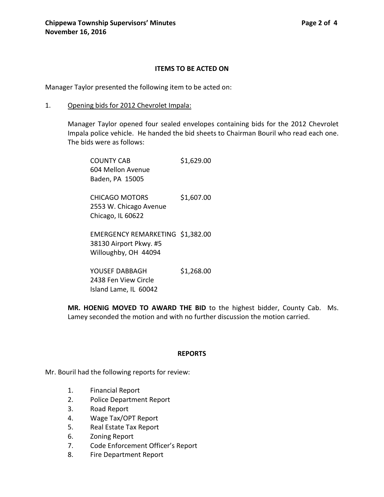### **ITEMS TO BE ACTED ON**

Manager Taylor presented the following item to be acted on:

1. Opening bids for 2012 Chevrolet Impala:

Manager Taylor opened four sealed envelopes containing bids for the 2012 Chevrolet Impala police vehicle. He handed the bid sheets to Chairman Bouril who read each one. The bids were as follows:

| <b>COUNTY CAB</b><br>604 Mellon Avenue<br>Baden, PA 15005                          | \$1,629.00 |
|------------------------------------------------------------------------------------|------------|
| <b>CHICAGO MOTORS</b><br>2553 W. Chicago Avenue<br>Chicago, IL 60622               | \$1,607.00 |
| EMERGENCY REMARKETING \$1,382.00<br>38130 Airport Pkwy. #5<br>Willoughby, OH 44094 |            |
| YOUSFF DABBAGH<br>2438 Fen View Circle                                             | \$1,268.00 |

Island Lame, IL 60042

**MR. HOENIG MOVED TO AWARD THE BID** to the highest bidder, County Cab. Ms. Lamey seconded the motion and with no further discussion the motion carried.

#### **REPORTS**

Mr. Bouril had the following reports for review:

- 1. Financial Report
- 2. Police Department Report
- 3. Road Report
- 4. Wage Tax/OPT Report
- 5. Real Estate Tax Report
- 6. Zoning Report
- 7. Code Enforcement Officer's Report
- 8. Fire Department Report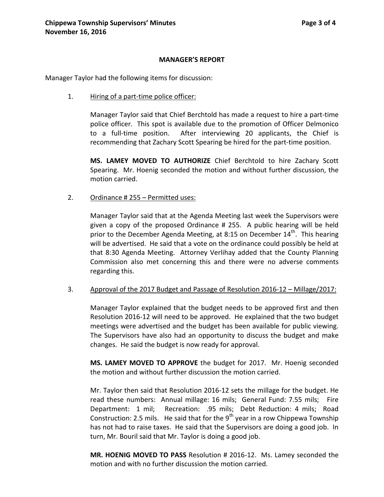#### **MANAGER'S REPORT**

Manager Taylor had the following items for discussion:

1. Hiring of a part-time police officer:

Manager Taylor said that Chief Berchtold has made a request to hire a part-time police officer. This spot is available due to the promotion of Officer Delmonico to a full-time position. After interviewing 20 applicants, the Chief is recommending that Zachary Scott Spearing be hired for the part-time position.

**MS. LAMEY MOVED TO AUTHORIZE** Chief Berchtold to hire Zachary Scott Spearing. Mr. Hoenig seconded the motion and without further discussion, the motion carried.

2. Ordinance # 255 – Permitted uses:

Manager Taylor said that at the Agenda Meeting last week the Supervisors were given a copy of the proposed Ordinance # 255. A public hearing will be held prior to the December Agenda Meeting, at 8:15 on December  $14<sup>th</sup>$ . This hearing will be advertised. He said that a vote on the ordinance could possibly be held at that 8:30 Agenda Meeting. Attorney Verlihay added that the County Planning Commission also met concerning this and there were no adverse comments regarding this.

#### 3. Approval of the 2017 Budget and Passage of Resolution 2016-12 – Millage/2017:

Manager Taylor explained that the budget needs to be approved first and then Resolution 2016-12 will need to be approved. He explained that the two budget meetings were advertised and the budget has been available for public viewing. The Supervisors have also had an opportunity to discuss the budget and make changes. He said the budget is now ready for approval.

**MS. LAMEY MOVED TO APPROVE** the budget for 2017. Mr. Hoenig seconded the motion and without further discussion the motion carried.

Mr. Taylor then said that Resolution 2016-12 sets the millage for the budget. He read these numbers: Annual millage: 16 mils; General Fund: 7.55 mils; Fire Department: 1 mil; Recreation: .95 mils; Debt Reduction: 4 mils; Road Construction: 2.5 mils. He said that for the  $9<sup>th</sup>$  year in a row Chippewa Township has not had to raise taxes. He said that the Supervisors are doing a good job. In turn, Mr. Bouril said that Mr. Taylor is doing a good job.

**MR. HOENIG MOVED TO PASS** Resolution # 2016-12. Ms. Lamey seconded the motion and with no further discussion the motion carried.